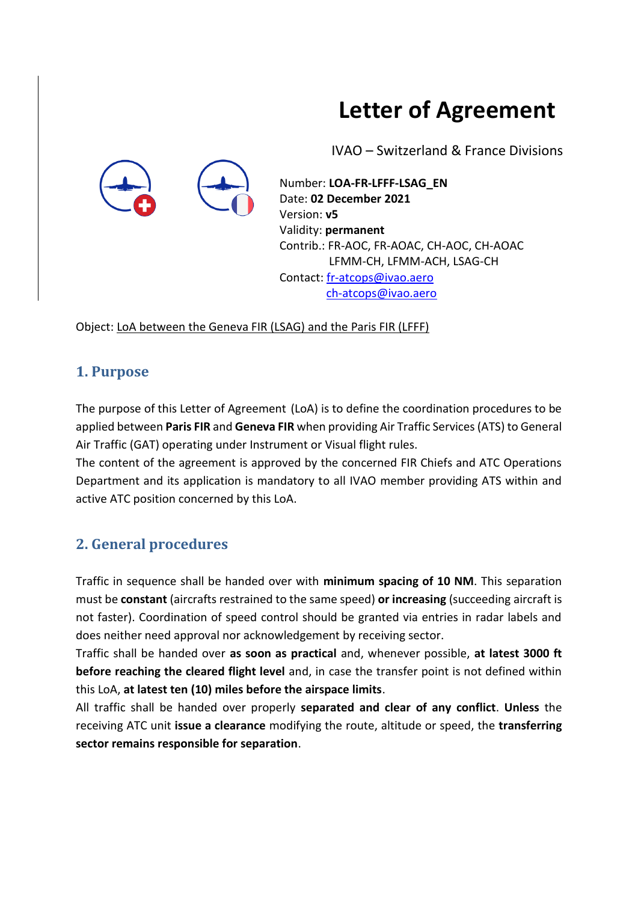# **Letter of Agreement**

IVAO – Switzerland & France Divisions



Number: **LOA-FR-LFFF-LSAG\_EN** Date: **02 December 2021** Version: **v5** Validity: **permanent** Contrib.: FR-AOC, FR-AOAC, CH-AOC, CH-AOAC LFMM-CH, LFMM-ACH, LSAG-CH Contact[: fr-atcops@ivao.aero](mailto:fr-atcops@ivao.aero) [ch-atcops@ivao.aero](mailto:ch-atcops@ivao.aero)

Object: LoA between the Geneva FIR (LSAG) and the Paris FIR (LFFF)

## **1. Purpose**

The purpose of this Letter of Agreement (LoA) is to define the coordination procedures to be applied between **Paris FIR** and **Geneva FIR** when providing Air Traffic Services (ATS) to General Air Traffic (GAT) operating under Instrument or Visual flight rules.

The content of the agreement is approved by the concerned FIR Chiefs and ATC Operations Department and its application is mandatory to all IVAO member providing ATS within and active ATC position concerned by this LoA.

## **2. General procedures**

Traffic in sequence shall be handed over with **minimum spacing of 10 NM**. This separation must be **constant** (aircrafts restrained to the same speed) **or increasing** (succeeding aircraft is not faster). Coordination of speed control should be granted via entries in radar labels and does neither need approval nor acknowledgement by receiving sector.

Traffic shall be handed over **as soon as practical** and, whenever possible, **at latest 3000 ft before reaching the cleared flight level** and, in case the transfer point is not defined within this LoA, **at latest ten (10) miles before the airspace limits**.

All traffic shall be handed over properly **separated and clear of any conflict**. **Unless** the receiving ATC unit **issue a clearance** modifying the route, altitude or speed, the **transferring sector remains responsible for separation**.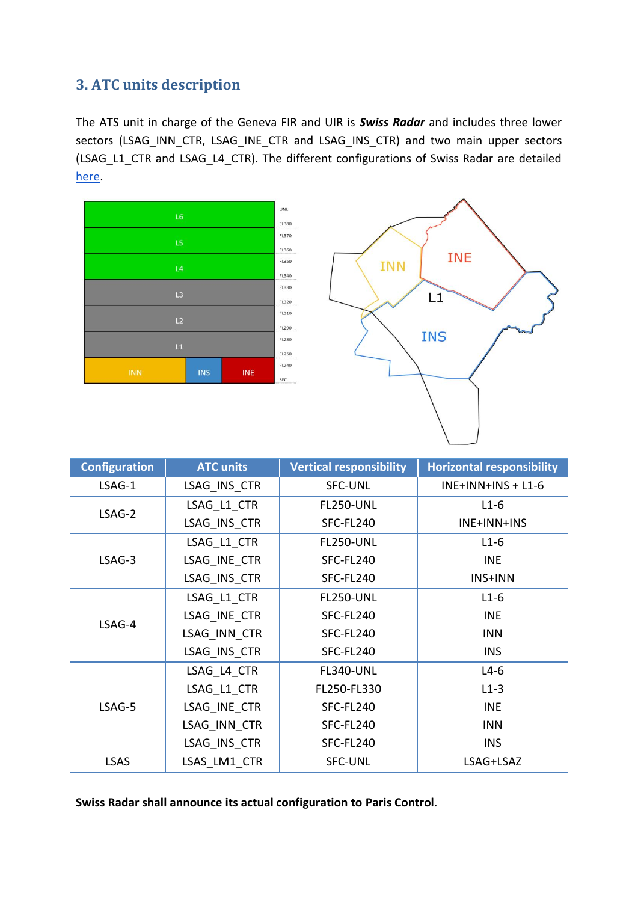## **3. ATC units description**

The ATS unit in charge of the Geneva FIR and UIR is *Swiss Radar* and includes three lower sectors (LSAG\_INN\_CTR, LSAG\_INE\_CTR and LSAG\_INS\_CTR) and two main upper sectors (LSAG\_L1\_CTR and LSAG\_L4\_CTR). The different configurations of Swiss Radar are detailed [here.](https://www.ivao.ch/swiss-radar-lsag-acc/)

| L6         |            |            | <b>UNL</b>   |
|------------|------------|------------|--------------|
|            |            |            | <b>FL380</b> |
| L5         |            |            | <b>FL370</b> |
|            |            |            | FL360        |
| L4         |            |            | FL350        |
|            |            |            | FL340        |
| L3         |            |            | FL330        |
|            |            |            | FL320        |
| L2         |            |            | FL310        |
|            |            |            | FL290        |
|            |            |            | FL280        |
| L1         |            |            | FL250        |
|            |            |            | FL240        |
| <b>INN</b> | <b>INS</b> | <b>INE</b> | SFC          |



| <b>Configuration</b> | <b>ATC units</b> | <b>Vertical responsibility</b> | <b>Horizontal responsibility</b> |
|----------------------|------------------|--------------------------------|----------------------------------|
| LSAG-1               | LSAG INS CTR     | <b>SFC-UNL</b>                 | $INE+INN+INS + L1-6$             |
| LSAG-2               | LSAG L1 CTR      | <b>FL250-UNL</b>               | $L1-6$                           |
|                      | LSAG INS CTR     | SFC-FL240                      | INE+INN+INS                      |
|                      | LSAG L1 CTR      | <b>FL250-UNL</b>               | $L1-6$                           |
| LSAG-3               | LSAG INE CTR     | SFC-FL240                      | <b>INE</b>                       |
|                      | LSAG INS CTR     | SFC-FL240                      | INS+INN                          |
| LSAG-4               | LSAG L1 CTR      | <b>FL250-UNL</b>               | $L1-6$                           |
|                      | LSAG INE CTR     | SFC-FL240                      | <b>INE</b>                       |
|                      | LSAG INN CTR     | SFC-FL240                      | <b>INN</b>                       |
|                      | LSAG INS CTR     | SFC-FL240                      | <b>INS</b>                       |
|                      | LSAG L4 CTR      | <b>FL340-UNL</b>               | $L4-6$                           |
| LSAG-5               | LSAG L1 CTR      | FL250-FL330                    | $L1-3$                           |
|                      | LSAG INE CTR     | SFC-FL240                      | <b>INE</b>                       |
|                      | LSAG INN CTR     | SFC-FL240                      | <b>INN</b>                       |
|                      | LSAG INS CTR     | SFC-FL240                      | <b>INS</b>                       |
| <b>LSAS</b>          | LSAS LM1 CTR     | <b>SFC-UNL</b>                 | LSAG+LSAZ                        |

**Swiss Radar shall announce its actual configuration to Paris Control**.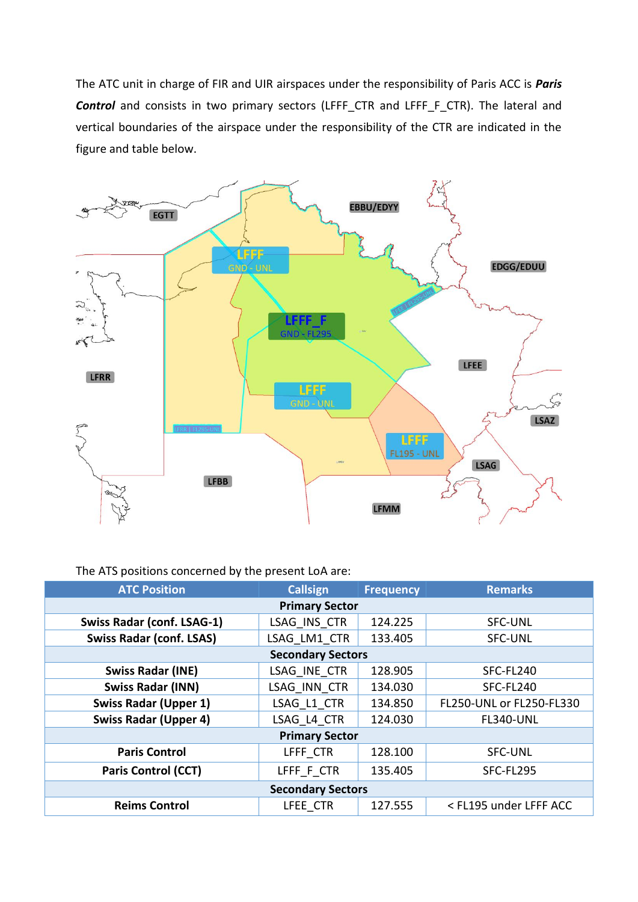The ATC unit in charge of FIR and UIR airspaces under the responsibility of Paris ACC is *Paris*  **Control** and consists in two primary sectors (LFFF\_CTR and LFFF\_F\_CTR). The lateral and vertical boundaries of the airspace under the responsibility of the CTR are indicated in the figure and table below.



#### The ATS positions concerned by the present LoA are:

| <b>ATC Position</b>               | <b>Callsign</b> | <b>Frequency</b> | <b>Remarks</b>                                 |  |
|-----------------------------------|-----------------|------------------|------------------------------------------------|--|
| <b>Primary Sector</b>             |                 |                  |                                                |  |
| <b>Swiss Radar (conf. LSAG-1)</b> | LSAG INS CTR    | 124.225          | <b>SFC-UNL</b>                                 |  |
| <b>Swiss Radar (conf. LSAS)</b>   | LSAG LM1 CTR    | 133.405          | <b>SFC-UNL</b>                                 |  |
| <b>Secondary Sectors</b>          |                 |                  |                                                |  |
| <b>Swiss Radar (INE)</b>          | LSAG INE CTR    | 128.905          | SFC-FL240                                      |  |
| <b>Swiss Radar (INN)</b>          | LSAG INN CTR    | 134.030          | SFC-FL240                                      |  |
| <b>Swiss Radar (Upper 1)</b>      | LSAG L1 CTR     | 134.850          | FL250-UNL or FL250-FL330                       |  |
| <b>Swiss Radar (Upper 4)</b>      | LSAG L4 CTR     | 124.030          | <b>FL340-UNL</b>                               |  |
| <b>Primary Sector</b>             |                 |                  |                                                |  |
| <b>Paris Control</b>              | LFFF CTR        | 128.100          | <b>SFC-UNL</b>                                 |  |
| <b>Paris Control (CCT)</b>        | LFFF F CTR      | 135.405          | SFC-FL295                                      |  |
| <b>Secondary Sectors</b>          |                 |                  |                                                |  |
| <b>Reims Control</b>              | LFEE CTR        | 127.555          | <fl195 acc<="" lfff="" th="" under=""></fl195> |  |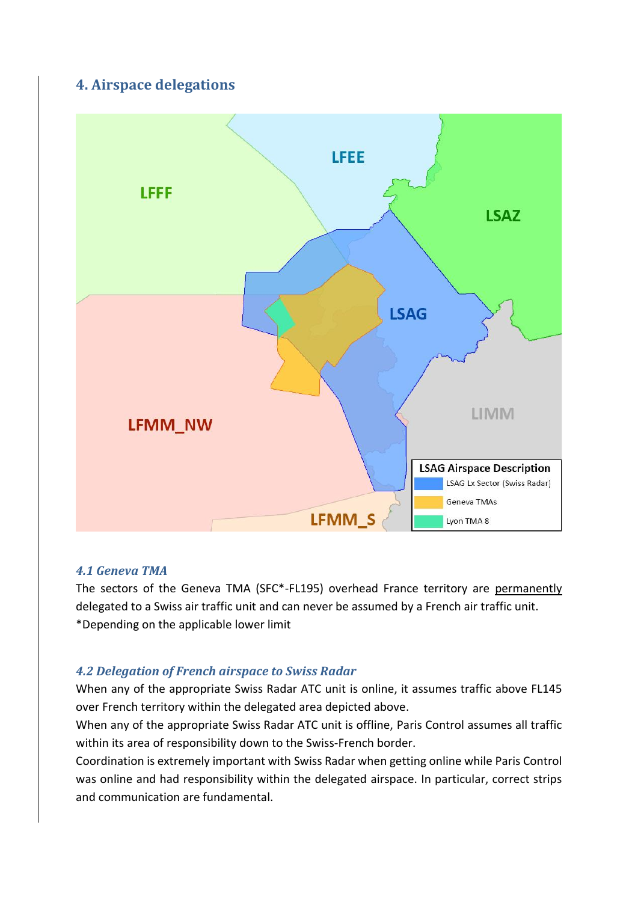## **4. Airspace delegations**



#### *4.1 Geneva TMA*

The sectors of the Geneva TMA (SFC\*-FL195) overhead France territory are permanently delegated to a Swiss air traffic unit and can never be assumed by a French air traffic unit. \*Depending on the applicable lower limit

### *4.2 Delegation of French airspace to Swiss Radar*

When any of the appropriate Swiss Radar ATC unit is online, it assumes traffic above FL145 over French territory within the delegated area depicted above.

When any of the appropriate Swiss Radar ATC unit is offline, Paris Control assumes all traffic within its area of responsibility down to the Swiss-French border.

Coordination is extremely important with Swiss Radar when getting online while Paris Control was online and had responsibility within the delegated airspace. In particular, correct strips and communication are fundamental.